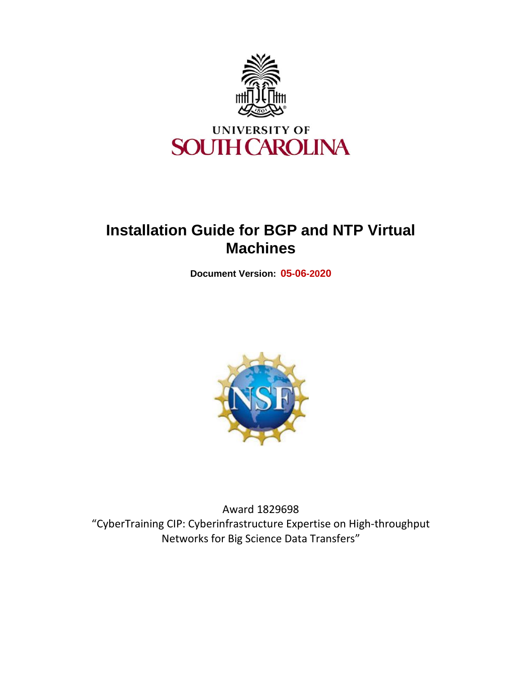

# **Installation Guide for BGP and NTP Virtual Machines**

**Document Version: 05-06-2020**



Award 1829698 "CyberTraining CIP: Cyberinfrastructure Expertise on High-throughput Networks for Big Science Data Transfers"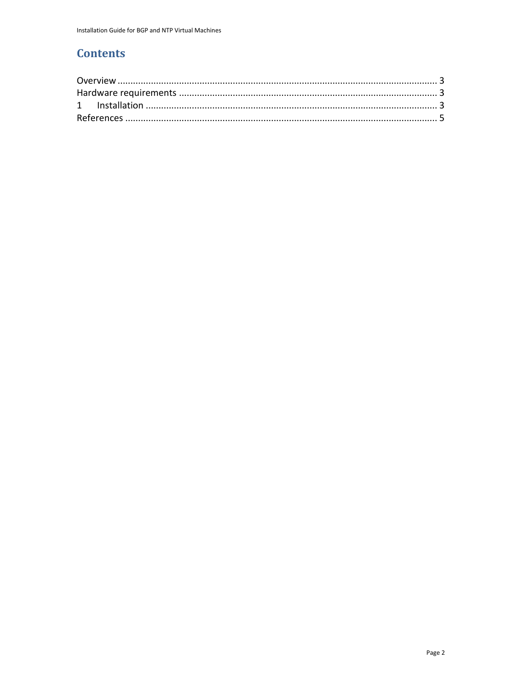## **Contents**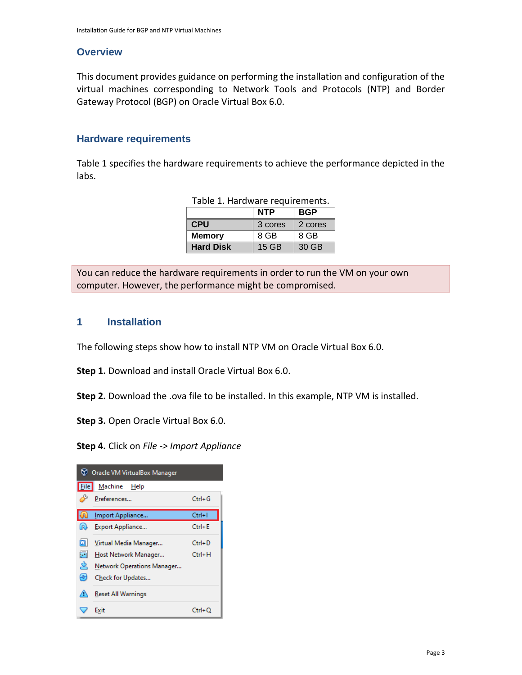#### <span id="page-2-0"></span>**Overview**

This document provides guidance on performing the installation and configuration of the virtual machines corresponding to Network Tools and Protocols (NTP) and Border Gateway Protocol (BGP) on Oracle Virtual Box 6.0.

#### <span id="page-2-1"></span>**Hardware requirements**

Table 1 specifies the hardware requirements to achieve the performance depicted in the labs.

|                  | <b>NTP</b> | <b>BGP</b> |
|------------------|------------|------------|
| <b>CPU</b>       | 3 cores    | 2 cores    |
| <b>Memory</b>    | 8 GB       | 8 GB       |
| <b>Hard Disk</b> | $15$ GB    | 30 GB      |

You can reduce the hardware requirements in order to run the VM on your own computer. However, the performance might be compromised.

#### <span id="page-2-2"></span>**1 Installation**

The following steps show how to install NTP VM on Oracle Virtual Box 6.0.

**Step 1.** Download and install Oracle Virtual Box 6.0.

**Step 2.** Download the .ova file to be installed. In this example, NTP VM is installed.

**Step 3.** Open Oracle Virtual Box 6.0.

**Step 4.** Click on *File -> Import Appliance*

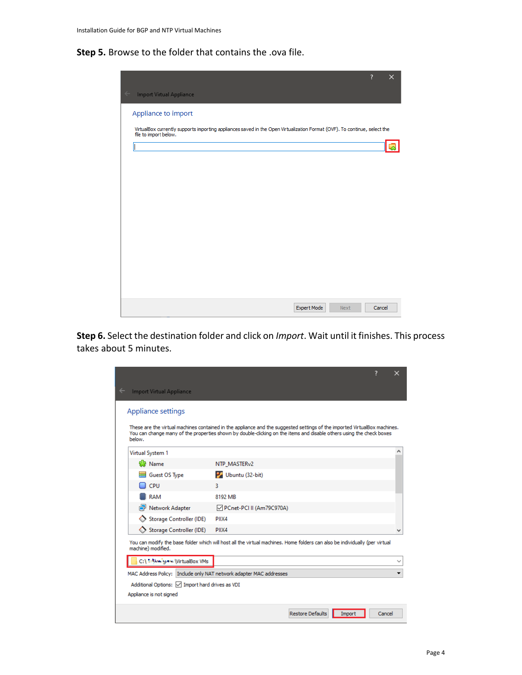**Step 5.** Browse to the folder that contains the .ova file.



**Step 6.** Select the destination folder and click on *Import*. Wait until it finishes. This process takes about 5 minutes.

|                                                                    | 7                                                                                                                                                                                                                                                 |        |
|--------------------------------------------------------------------|---------------------------------------------------------------------------------------------------------------------------------------------------------------------------------------------------------------------------------------------------|--------|
| Import Virtual Appliance                                           |                                                                                                                                                                                                                                                   |        |
| Appliance settings                                                 |                                                                                                                                                                                                                                                   |        |
| below.                                                             | These are the virtual machines contained in the appliance and the suggested settings of the imported VirtualBox machines.<br>You can change many of the properties shown by double-clicking on the items and disable others using the check boxes |        |
| Virtual System 1                                                   |                                                                                                                                                                                                                                                   |        |
| 당 Name                                                             | NTP MASTER <sub>v2</sub>                                                                                                                                                                                                                          |        |
| Guest OS Type                                                      | Ubuntu (32-bit)                                                                                                                                                                                                                                   |        |
| CPU                                                                | 3.                                                                                                                                                                                                                                                |        |
| <b>RAM</b>                                                         | 8192 MB                                                                                                                                                                                                                                           |        |
| Network Adapter                                                    | PCnet-PCI II (Am79C970A)                                                                                                                                                                                                                          |        |
| Storage Controller (IDE)                                           | PIIX4                                                                                                                                                                                                                                             |        |
| Storage Controller (IDE)                                           | PIIX4                                                                                                                                                                                                                                             |        |
| machine) modified.                                                 | You can modify the base folder which will host all the virtual machines. Home folders can also be individually (per virtual                                                                                                                       |        |
| C:\ - New year \VirtualBox VMs                                     |                                                                                                                                                                                                                                                   |        |
| MAC Address Policy: Include only NAT network adapter MAC addresses |                                                                                                                                                                                                                                                   |        |
| Additional Options: <a> Import hard drives as VDI</a>              |                                                                                                                                                                                                                                                   |        |
| Appliance is not signed                                            |                                                                                                                                                                                                                                                   |        |
|                                                                    | <b>Restore Defaults</b><br>Import                                                                                                                                                                                                                 | Cancel |